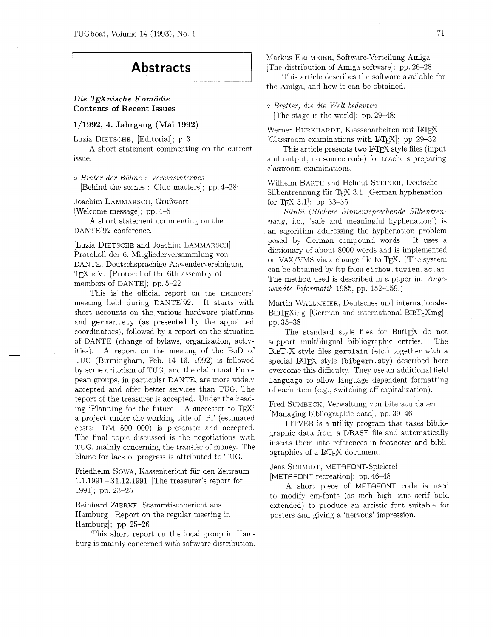# **Abstracts**

# $Die$  *T<sub>F</sub>Xnische Komödie* Contents of Recent Issues

# **1/1992, 4.** Jahrgang **(Mai 1992)**

Luzia DIETSCHE, [Editorial]; p. **3** 

A short statement commenting on the current issue.

*<sup>o</sup>Hinter der Buhne* : *Vereinsinternes*  [Behind the scenes : Club matters]; pp. 4-28:

Joachim LAMMARSCH, GruBwort [Welcome message]; pp. 4-5

A short statement commenting on the DANTE'92 conference.

[Luzia DIETSCHE and Joachim LAMMARSCH] , Protokoll der 6. Mitgliederversammlung von DANTE, Deutschsprachige Anwendervereinigung TFX e.V. [Protocol of the 6th assembly of members of DANTE]; pp. 5-22

This is the official report on the members' meeting held during DANTE'92. It starts with short accounts on the various hardware platforms and german.sty (as presented by the appointed coordinators), followed by a report on the situation of DANTE (change of bylaws, organization, activities). A report on the meeting of the BOD of TUG (Birmingham, Feb. 14-16. 1992) is followed by some criticism of TUG, and the claim that European groups, in particular DANTE, are more widely accepted and offer better services than TUG. The report of the treasurer is accepted. Under the heading 'Planning for the future $-A$  successor to TFX' a project under the working title of 'Pi' (estimated costs: DM 500 000) is presented and accepted. The final topic discussed is the negotiations with TUG, mainly concerning the transfer of money. The blame for lack of progress is attributed to TUG.

Friedhelm SOWA, Kassenbericht fur den Zeitraum 1.1.1991 - 31.12.1991 [The treasurer's report for 1991]; pp. 23-25

Reinhard ZIERKE, Stammtischbericht aus Hamburg [Report on the regular meeting in Hamburg]; pp. 25-26

This short report on the local group in Hamburg is mainly concerned with software distribution. Markus ERLMEIER, Software-Verteilung Amiga [The distribution of Amiga software]; pp. 26-28

This article describes the software available for the Amiga, and how it can be obtained.

o *Bretter, die die Welt bedeuten*  [The stage is the world]; pp. 29-48:

Werner BURKHARDT, Klassenarbeiten mit LATFX [Classroom examinations with  $\text{[ATFX]}$ ; pp. 29-32

This article presents two LATFX style files (input and output, no source code) for teachers preparing classroom examinations.

Wilhelm BARTH and Helmut STEINER, Deutsche Silbentrennung für TFX 3.1 [German hyphenation] for TEX 3.1, pp. 33-35

*SiSiSi (SIchere Slnnentsprechende SIlbentrennung*, i.e., 'safe and meaningful hyphenation') is an algorithm addressing the hyphenation problem posed by German compound words. It uses a dictionary of about 8000 words and is implemented on VAX/VMS via a change file to  $TrX$ . (The system can be obtained by ftp from eichow. tuwien. ac. at. The method used is described in a paper in: *Angewandte Informatik* 1985, pp. 152-159.)

Martin WALLMEIER, Deutsches und internationales  $B_{\text{IBTF}}$ Xing [German and international BIBT $_{\text{FF}}$ Xing]; pp. 35-38

The standard style files for BIBTFX do not support multilingual bibliographic entries. The BIBTEX style files gerplain (etc.) together with a special LAT<sub>F</sub>X style (bibgerm.sty) described here overcome this difficulty. They use an additional field language to allow language dependent formatting of each item (e.g., switching off capitalization).

Fred SUMBECK. Verwaltung von Literaturdaten [Managing bibliographic data]; pp. 39-46

LITVER is a utility program that takes bibliographic data from a DBASE file and automatically inserts them into references in footnotes and bibliographies of a IAT<sub>E</sub>X document.

Jens SCHMIDT, METAFONT-Spielerei [METAFONT recreation]; pp. 46-48

A short piece of METRFONT code is used to modify cm-fonts (as inch high sans serif bold extended) to produce an artistic font suitable for posters and giving a 'nervous' impression.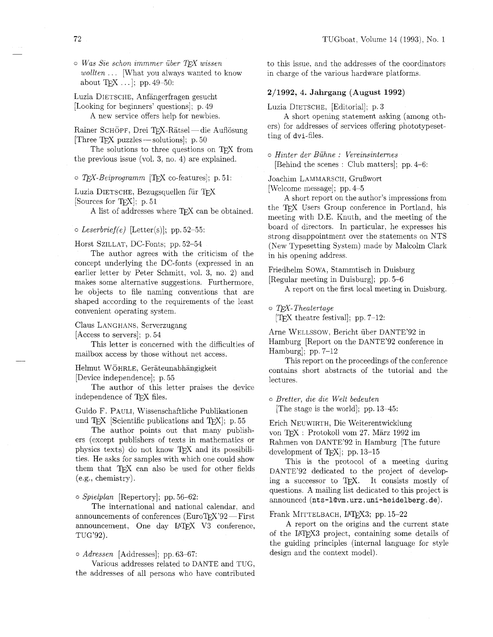$\circ$  *Was Sie schon immmer über TFX wissen wollten* . . . [What you always wanted to know about  $Tr[X \dots]$ ; pp. 49-50:

Luzia DIETSCHE, Anfangerfragen gesucht [Looking for beginners' questions]; p. 49 A new service offers help for newbies.

A new service offers help for newbies.<br>Rainer SCHÖPF, Drei TEX-Rätsel — die Auflösung Rainer SCHÖPF, Drei TEX-Rätsel — die<br>[Three TEX puzzles — solutions]; p. 50<br>The solutions to three succtions

The solutions to three questions on TFX from the previous issue (vol. 3, no. 4) are explained.

o T<sub>F</sub>X-Beiprogramm [TFX co-features]; p. 51:

Luzia DIETSCHE, Bezugsquellen für *TFX* [Sources for T<sub>F</sub>X<sub>]</sub>; p. 51]

A list of addresses where TEX can be obtained.

### *o Leserbrief(e)* [Letter(s)]; pp. 52-55:

Horst SZILLAT, DC-Fonts; pp. 52-54

The author agrees with the criticism of the concept underlying the DC-fonts (expressed in an earlier letter by Peter Schmitt, vol. 3, no. 2) and makes some alternative suggestions. Furthermore, he objects to file naming conventions that are shaped according to the requirements of the least convenient operating system.

#### Claus LANGHANS. Serverzugang

[Access to servers]; p. 54

This letter is concerned with the difficulties of mailbox access by those without net access.

Helmut WOHRLE, Gerateunabhangigkeit

[Device independence]; p. 55

The author of this letter praises the device independence of T<sub>F</sub>X files.

Guido F. PAULI, Wissenschaftliche Publikationen und  $T_F X$  [Scientific publications and  $T_F X$ ]; p. 55

The author points out that many publishers (except publishers of texts in mathematics or physics texts) do not know TEX and its possibilities. He asks for samples with which one could show them that TEX can also be used for other fields (eg.. chemistry).

**0** *Spielplan* [Repertory]; pp. 56-62:

The international and national calendar, and announcements of conferences (EuroT $FX$ '92 - First announcement, One day IATEX V3 conference, TUG'92).

0 *Adressen* [Addresses] ; pp. 63-67:

Various addresses related to DANTE and TUG, the addresses of all persons who have contributed

to this issue, and the addresses of the coordinators in charge of the various hardware platforms.

# **2/1992, 4. Jahrgang (August 1992)**

Luzia DIETSCHE, [Editorial]; p. 3

A short opening statement asking (among others) for addresses of services offering phototypesetting of dvi-files.

*<sup>o</sup>Hinter der Buhne* : *Vereinsinternes*  [Behind the scenes : Club matters]: pp. 4-6:

Joachim LAMMARSCH, Grußwort

[Welcome message]; pp. 4-5

A short report on the author's impressions from the TFX Users Group conference in Portland, his meeting with D.E. Knuth, and the meeting of the board of directors. In particular, he expresses his strong disappointment over the statements on NTS (New Typesetting System) made by Malcolm Clark in his opening address.

Friedhelm SOWA, Stammtisch in Duisburg [Regular meeting in Duisburg]; pp. 5-6

A report on the first local meeting in Duisburg.

o *T&X- Theatertage* 

[TEX theatre festival]; pp. 7-12:

Arne WELLSSOW, Bericht uber DANTE'92 in Hamburg [Report on the DANTE'92 conference in Hamburg]; pp. 7-12

This report on the proceedings of the conference contains short abstracts of the tutorial and the lectures.

o *Bretter, die die Welt bedeuten*  [The stage is the world]; pp. 13-45:

Erich NEUWIRTH, Die Weiterentwicklung von TFX : Protokoll vom 27. März 1992 im Rahmen von DANTE'92 in Hamburg [The future development of T $EX$ ; pp. 13-15

This is the protocol of a meeting during DANTE'92 dedicated to the project of developing a successor to T<sub>F</sub>X. It consists mostly of questions. A mailing list dedicated to this project is announced **(nts-l@m.** urz. mi-heidelberg. de).

#### Frank MITTELBACH, L<sup>A</sup>TEX3; pp. 15-22

A report on the origins and the current state of the LAT<sub>F</sub>X3 project, containing some details of the guiding principles (internal language for style design and the context model).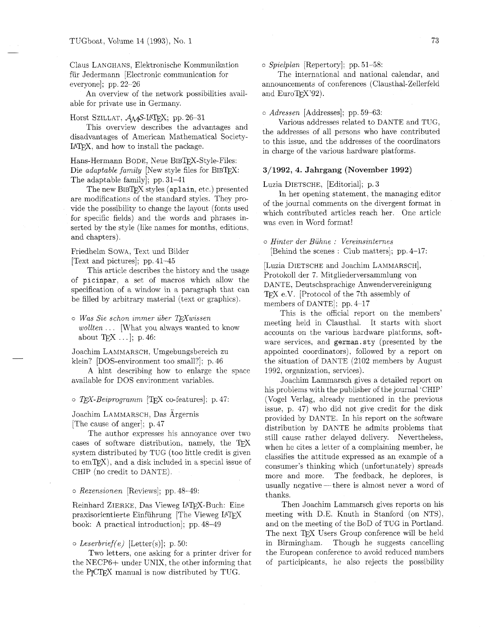Claus LANGHANS, Elektronische Kommunikation für Jedermann [Electronic communication for everyone]; pp. 22-26

An overview of the network possibilities available for private use in Germany.

Horst SZILLAT,  $\mathcal{A}_{\mathcal{M}}$ S-IAT<sub>E</sub>X; pp. 26-31

This overview describes the advantages and disadvantages of American Mathematical Society-LAT<sub>F</sub>X, and how to install the package.

Hans-Hermann BODE, Neue BIBTFX-Style-Files: Die *adaptable family* [New style files for BIBTFX: The adaptable family]; pp. 31-41

The new BIBTFX styles (aplain, etc.) presented are modifications of the standard styles. They provide the possibility to change the layout (fonts used for specific fields) and the words and phrases inserted by the style (like names for months, editions. and chapters).

Friedhelm SOWA, Text und Bilder

[Text and pictures]; pp. 41-45

This article describes the history and the usage of picinpar, a set of macros which allow the specification of a window in a paragraph that can be filled by arbitrary material (text or graphics).

 $\circ$  *Was Sie schon immer über TEXwissen wollten* . . . [What you always wanted to know about  $Tr[X \dots]$ ; p. 46:

Joachim LAMMARSCH, Umgebungsbereich zu klein? [DOS-environment too small?]; p. 46

A hint describing how to enlarge the space available for DOS environment variables.

o *TFX-Beiprogramm* [TFX co-features]; p. 47:

Joachim LAMMARSCH, Das Ärgernis [The cause of anger]; p. 47

The author expresses his annoyance over two cases of software distribution, namely, the  $T_F X$ system distributed by TUG (too little credit is given to  $emTrX$ ), and a disk included in a special issue of CHIP (no credit to DANTE).

o *Rezensionen* [Reviews]; pp. 48-49:

Reinhard ZIERKE, Das Vieweg LATFX-Buch: Eine praxisorientierte Einführung [The Vieweg LATEX book: A practical introduction]; pp. 48-49

#### o *Leserbrief(e)* [Letter(s)]; p. 50:

Two letters, one asking for a printer driver for the NECP6+ under UNIX, the other informing that the P<sub>I</sub>CI<sub>F</sub>X manual is now distributed by TUG.

o *Spielplan* [Repertory]; pp. 51-58:

The international and national calendar, and announcements of conferences (Clausthal-Zellerfeld and  $EuroTrX'92$ ).

*o Adressen* [Addresses]; pp. 59-63:

Various addresses related to DANTE and TUG, the addresses of all persons who have contributed to this issue, and the addresses of the coordinators in charge of the various hardware platforms.

#### **3/1992, 4. Jahrgang (November 1992)**

Luzia DIETSCHE, [Editorial]; p. 3

In her opening statement, the managing editor of the journal comments on the divergent format in which contributed articles reach her. One article was even in Word format!

*<sup>o</sup>Hinter der Biihne* : *Vereinsinternes*  [Behind the scenes : Club matters]; pp. 4-17:

[Luzia DIETSCHE and Joachim LAMMARSCH], Protokoll der 7. Mitgliederversammlung von DANTE. Deutschsprachige Anwendervereinigung e.V. [Protocol of the 7th assembly of members of DANTE]; pp. 4-17

This is the official report on the members' meeting held in Clausthal. It starts with short accounts on the various hardware platforms. software services, and german. sty (presented by the appointed coordinators), followed by a report on the situation of DANTE (2102 members by August 1992, organization. services).

Joachim Lammarsch gives a detailed report on his problems with the publisher of the journal 'CHIP' (Vogel Verlag, already mentioned in the previous issue. p. 47) who did not give credit for the disk provided by DANTE. In his report on the software distribution by DANTE he admits problems that still cause rather delayed delivery. Nevertheless, when he cites a letter of a complaining member, he classifies the attitude expressed as an example of a consumer's thinking which (unfortunately) spreads more and more. The feedback, he deplores, is usually negative — there is almost never a word of thanks.

Then Joachim Lammarsch gives reports on his meeting with D.E. Knuth in Stanford (on NTS), and on the meeting of the BOD of TUG in Portland. The next TFX Users Group conference will be held in Birmingham. Though he suggests cancelling the European conference to avoid reduced numbers of participicants, he also rejects the possibility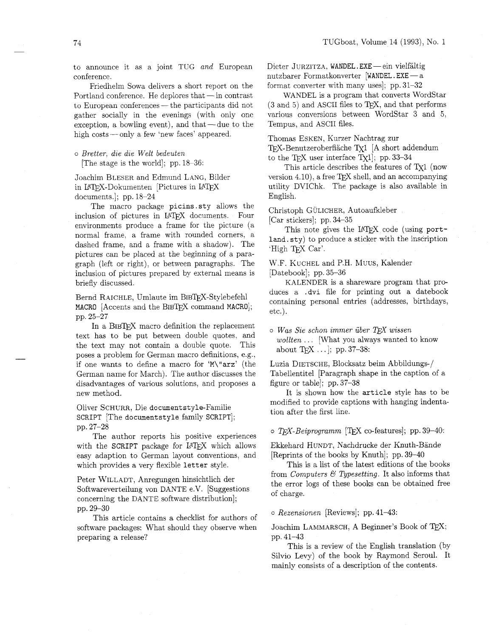to announce it as a joint TUG *and* European conference.

Friedhelm Sowa delivers a short report on the<br>Portland conference. He deplores that — in contrast<br>the Portland conference the portlands did not to European conferences — the participants did not gather socially in the evenings (with only one exception, a bowling event), and that — due to the gather socially in the evenings (with only<br>exception, a bowling event), and that—due t<br>high costs — only a few 'new faces' appeared.

o *Bretter, die die Welt bedeuten* 

[The stage is the world]; pp. 18-36:

Joachim BLESER and Edmund LANG, Bilder in LATFX-Dokumenten [Pictures in LATFX documents.]; pp. 18-24

The macro package picins. sty allows the inclusion of pictures in LAT<sub>E</sub>X documents. Four environments produce a frame for the picture (a normal frame, a frame with rounded corners, a dashed frame, and a frame with a shadow). The pictures can be placed at the beginning of a paragraph (left or right), or between paragraphs. The inclusion of pictures prepared by external means is briefly discussed.

Bernd RAICHLE, Umlaute im BIBTEX-Stylebefehl MACRO [Accents and the BIBTFX command MACRO]; pp. 25-27

In a BIBTEX macro definition the replacement text has to be put between double quotes, and the text may not contain a double quote. This poses a problem for German macro definitions, e.g., if one wants to define a macro for 'M\"arz' (the German name for March). The author discusses the disadvantages of various solutions, and proposes a new method.

Oliver SCHURR, Die document style-Familie SCRIPT [The document style family SCRIPT]; pp. 27-28

The author reports his positive experiences with the SCRIPT package for LAT<sub>F</sub>X which allows easy adaption to German layout conventions, and which provides a very flexible letter style.

Peter WILLADT, Anregungen hinsichtlich der Softwareverteilung von DANTE e.V. [Suggestions concerning the DANTE software distribution]; pp. 29-30

This article contains a checklist for authors of software packages: What should they observe when preparing a release?

Dieter JURZITZA, WANDEL. EXE - ein vielfältig nutzbarer Formatkonverter [WANDEL.EXE-a format converter with many uses]; pp. 31-32

WANDEL is a program that converts WordStar  $(3 \text{ and } 5)$  and ASCII files to TFX, and that performs various conversions between WordStar **3** and 5, Tempus, and ASCII files.

Thomas ESKEN, Kurzer Nachtrag zur

TFX-Benutzeroberfläche Tx1 [A short addendum to the  $TrX$  user interface  $Tx1$ ; pp. 33-34

This article describes the features of Tx1 (now version 4.10), a free TFX shell, and an accompanying utility DVIChk. The package is also available in English.

Christoph GULICHER, Autoaufkleber

[Car stickers]; pp. 34-35

This note gives the LAT<sub>F</sub>X code (using portland. sty) to produce a sticker with the inscription 'High T<sub>F</sub>X Car'.

W.F. KUCHEL and P.H. MUUS, Kalender [Datebook]; pp. 35-36

KALENDER is a shareware program that produces a .dvi file for printing out a datebook containing personal entries (addresses, birthdays, etc.).

*o Was Sie schon immer uber* TEX *wissen wollten* . . . [What you always wanted to know about T<sub>E</sub>X ... ]; pp. 37-38:

Luzia DIETSCHE, Blocksatz beim Abbildungs-/ Tabellentitel [Paragraph shape in the caption of a figure or table]; pp. 37-38

It is shown how the article style has to be modified to provide captions with hanging indentation after the first line.

 $\circ$  *T<sub>F</sub>X-Beiprogramm* [T<sub>F</sub>X co-features]; pp. 39–40:

Ekkehard HUNDT, Nachdrucke der Knuth-Bande [Reprints of the books by Knuth]; pp. 39-40

This is a list of the latest editions of the books from *Computers* k3 *Typesetting.* It also informs that the error logs of these books can be obtained free of charge.

o *Rezensionen* [Reviews]; pp. 41-43:

Joachim LAMMARSCH, A Beginner's Book of TEX; pp. 41-43

This is a review of the English translation (by Silvio Levy) of the book by Raymond Seroul. It mainly consists of a description of the contents.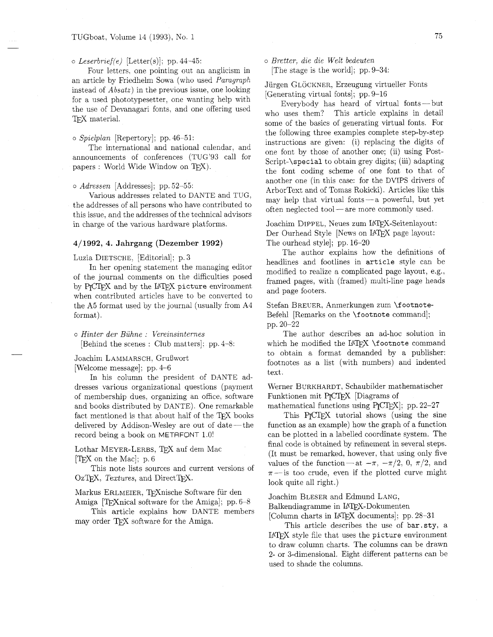o *Leserbriefje)* [Letter(s)]; pp. 44-45: *o Bretter, die die Welt bedeuten*  Four letters, one pointing out an anglicism in an article by Friedhelm Sowa (who used *Paragraph* Jürgen GLÖCKNER, Erzeugung virtueller Fonts<br>instead of *Absatz*) in the previous issue, one looking [Generating virtual fonts]; pp. 9–16<br>for a used phototypesetter, one w T<sub>F</sub>X material.

announcements of conferences (TUG'93 call for Script-\special to obtain grey digits; (iii) adapting<br>papers : World Wide Window on TEX).

#### *o Adressen* [Addresses]; pp. 52-55:

Various addresses related to DANTE and TUG. the addresses of all persons who have contributed to this issue, and the addresses of the technical advisors in charge of the various hardware platforms.

## **4/1992, 4.** Jahrgang (Dezember **1992)**

#### Luzia DIETSCHE, [Editorial]: p. **3**

In her opening statement the managing editor of the journal comments on the difficulties posed by P<sub>I</sub>CI<sub>F</sub>X and by the IAI<sub>F</sub>X picture environment when contributed articles have to be converted to the A5 format used by the journal (usually from A4 format).

*<sup>o</sup>Hinter der Buhne* : *Vereinsinternes*  [Behind the scenes : Club matters]: pp. 4-8:

Joachim LAMMARSCH, Grußwort

[Welcome message]; pp. 4-6

In his column the president of DANTE addresses various organizational questions (payment of membership dues. organizing an office, software and books distributed by DANTE). One remarkable fact mentioned is that about half of the TEX books delivered by Addison-Wesley are out of date-the record being a book on METAFONT 1.0!

Lothar MEYER-LERBS, TEX auf dem Mac  $[TFX \text{ on the Mac}]; p.6$ 

This note lists sources and current versions of OzT<sub>F</sub>X, *Textures*, and DirectT<sub>F</sub>X.

Markus ERLMEIER, TFXnische Software für den Amiga  $[T<sub>F</sub>X<sub>n</sub>ical software for the Amiga]$ ; pp. 6-8

This article explains how DANTE members may order TEX software for the Amiga.

who uses them? This article explains in detail some of the basics of generating virtual fonts. For the following three examples complete step-by-step o *Spielplan* [Repertory]; pp.46-51:<br>
The international and national calendar, and<br>
instructions are given: (i) replacing the digits of one font by those of another one; (ii) using Postthe font coding scheme of one font to that of another one (in this case: for the DVIPS drivers of ArborText and of Tomas Rokicki). Articles like this may help that virtual fonts-a powerful, but yet often neglected tool- are more commonly used.

> Joachim DIPPEL, Neues zum LATEX-Seitenlayout: Der Ourhead Style [News on IATEX page layout: The ourhead style]; pp. 16-20

The author explains how the definitions of headlines and footlines in article style can be modified to realize a complicated page layout, e.g.. framed pages, with (framed) multi-line page heads and page footers.

Stefan BREUER, Anmerkungen zum \footnote-Befehl [Remarks on the \footnote command]; pp. 20-22

The author describes an ad-hoc solution in which he modified the LAT<sub>EX</sub> \footnote command to obtain a format demanded by a publisher: footnotes as a list (with numbers) and indented text.

Werner BURKHARDT, Schaubilder mathematischer Funktionen mit PJCTEX [Diagrams of

mathematical functions using  $P_{\text{TCTr}}[X]$ ; pp. 22-27

This P<sub>I</sub>CI<sub>E</sub>X tutorial shows (using the sine function as an example) how the graph of a function can be plotted in a labelled coordinate system. The final code is obtained by refinement in several steps. (It must be remarked, however, that using only five values of the function—at  $-\pi$ ,  $-\pi/2$ , 0,  $\pi/2$ , and  $\pi$ -is too crude, even if the plotted curve might look quite all right.)

Joachim BLESER and Edmund LANG,

Balkendiagramme in LATEX-Dokumenten

[Column charts in LATEX documents]; pp. 28-31

This article describes the use of **bar.sty.** a LATFX style file that uses the picture environment to draw column charts. The columns can be drawn 2- or 3-dimensional. Eight different patterns can be used to shade the columns.